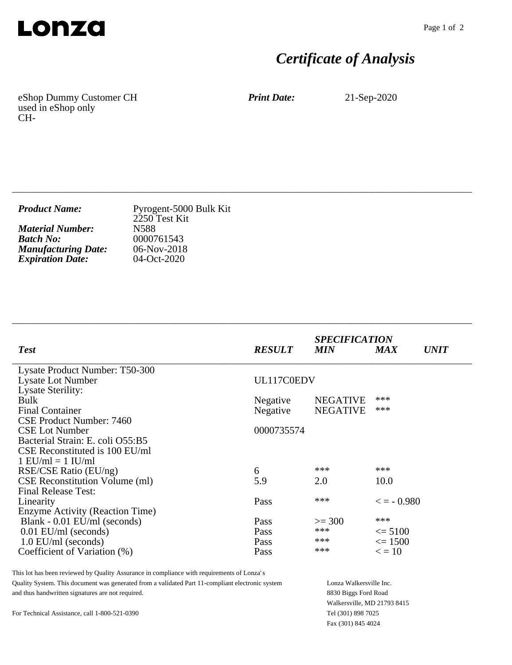

## *Certificate of Analysis*

eShop Dummy Customer CH used in eShop only CH-

*Print Date:* 21-Sep-2020

| <b>Product Name:</b>       | Pyrogent-5000 Bulk Kit<br>2250 Test Kit |
|----------------------------|-----------------------------------------|
| <b>Material Number:</b>    | N588                                    |
| <b>Batch No:</b>           | 0000761543                              |
| <b>Manufacturing Date:</b> | $06-Nov-2018$                           |
| <b>Expiration Date:</b>    | 04-Oct-2020                             |

\_\_\_\_\_\_\_\_\_\_\_\_\_\_\_\_\_\_\_\_\_\_\_\_\_\_\_\_\_\_\_\_\_\_\_\_\_\_\_\_\_\_\_\_\_\_\_\_\_\_\_\_\_\_\_\_\_\_\_\_\_\_\_\_\_\_\_\_\_\_\_\_\_\_\_\_

\_\_\_\_\_\_\_\_\_\_\_\_\_\_\_\_\_\_\_\_\_\_\_\_\_\_\_\_\_\_\_\_\_\_\_\_\_\_\_\_\_\_\_\_\_\_\_\_\_\_\_\_\_\_\_\_\_\_\_\_\_\_\_\_\_\_\_\_\_\_\_\_\_\_\_\_

| <b>Test</b>                            | <b>RESULT</b> | <b>SPECIFICATION</b><br><b>MIN</b> | <b>MAX</b>          | <i><b>UNIT</b></i> |
|----------------------------------------|---------------|------------------------------------|---------------------|--------------------|
| Lysate Product Number: T50-300         |               |                                    |                     |                    |
| <b>Lysate Lot Number</b>               | UL117C0EDV    |                                    |                     |                    |
| <b>Lysate Sterility:</b>               |               |                                    |                     |                    |
| <b>Bulk</b>                            | Negative      | <b>NEGATIVE</b>                    | ***                 |                    |
| <b>Final Container</b>                 | Negative      | <b>NEGATIVE</b>                    | ***                 |                    |
| CSE Product Number: 7460               |               |                                    |                     |                    |
| <b>CSE Lot Number</b>                  | 0000735574    |                                    |                     |                    |
| Bacterial Strain: E. coli O55:B5       |               |                                    |                     |                    |
| CSE Reconstituted is 100 EU/ml         |               |                                    |                     |                    |
| $1$ EU/ml = $1$ IU/ml                  |               |                                    |                     |                    |
| RSE/CSE Ratio (EU/ng)                  | 6             | ***                                | ***                 |                    |
| <b>CSE Reconstitution Volume (ml)</b>  | 5.9           | 2.0                                | 10.0                |                    |
| <b>Final Release Test:</b>             |               |                                    |                     |                    |
| Linearity                              | Pass          | ***                                | $\epsilon = -0.980$ |                    |
| <b>Enzyme Activity (Reaction Time)</b> |               |                                    |                     |                    |
| Blank - 0.01 EU/ml (seconds)           | Pass          | $>=$ 300                           | ***                 |                    |
| $0.01$ EU/ml (seconds)                 | Pass          | ***                                | $\leq$ 5100         |                    |
| $1.0$ EU/ml (seconds)                  | Pass          | ***                                | $\leq 1500$         |                    |
| Coefficient of Variation (%)           | Pass          | ***                                | $\epsilon = 10$     |                    |
|                                        |               |                                    |                     |                    |

This lot has been reviewed by Quality Assurance in compliance with requirements of Lonza's Quality System. This document was generated from a validated Part 11-compliant electronic system and thus handwritten signatures are not required.

For Technical Assistance, call 1-800-521-0390

Lonza Walkersville Inc. 8830 Biggs Ford Road Walkersville, MD 21793 8415 Tel (301) 898 7025 Fax (301) 845 4024